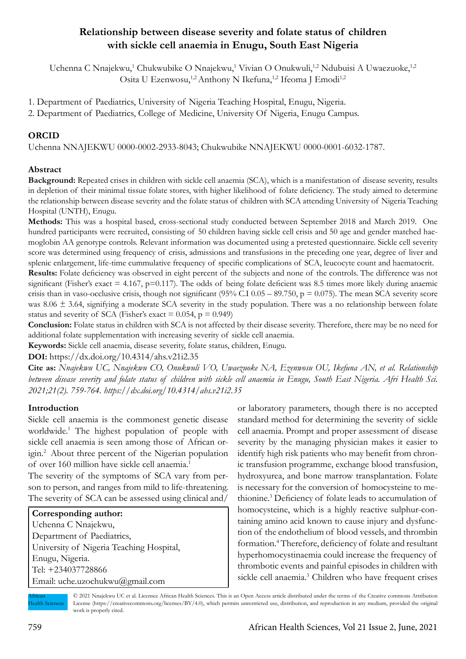# **Relationship between disease severity and folate status of children with sickle cell anaemia in Enugu, South East Nigeria**

Uchenna C Nnajekwu,<sup>1</sup> Chukwubike O Nnajekwu,<sup>1</sup> Vivian O Onukwuli,<sup>1,2</sup> Ndubuisi A Uwaezuoke,<sup>1,2</sup> Osita U Ezenwosu,<sup>1,2</sup> Anthony N Ikefuna,<sup>1,2</sup> Ifeoma J Emodi<sup>1,2</sup>

1. Department of Paediatrics, University of Nigeria Teaching Hospital, Enugu, Nigeria.

2. Department of Paediatrics, College of Medicine, University Of Nigeria, Enugu Campus.

## **ORCID**

Uchenna NNAJEKWU 0000-0002-2933-8043; Chukwubike NNAJEKWU 0000-0001-6032-1787.

## **Abstract**

**Background:** Repeated crises in children with sickle cell anaemia (SCA), which is a manifestation of disease severity, results in depletion of their minimal tissue folate stores, with higher likelihood of folate deficiency. The study aimed to determine the relationship between disease severity and the folate status of children with SCA attending University of Nigeria Teaching Hospital (UNTH), Enugu.

**Methods:** This was a hospital based, cross-sectional study conducted between September 2018 and March 2019. One hundred participants were recruited, consisting of 50 children having sickle cell crisis and 50 age and gender matched haemoglobin AA genotype controls. Relevant information was documented using a pretested questionnaire. Sickle cell severity score was determined using frequency of crisis, admissions and transfusions in the preceding one year, degree of liver and splenic enlargement, life-time cummulative frequency of specific complications of SCA, leucocyte count and haematocrit.

**Results:** Folate deficiency was observed in eight percent of the subjects and none of the controls. The difference was not significant (Fisher's exact  $= 4.167$ ,  $p=0.117$ ). The odds of being folate deficient was 8.5 times more likely during anaemic crisis than in vaso-occlusive crisis, though not significant (95% C.I 0.05 – 89.750,  $p = 0.075$ ). The mean SCA severity score was 8.06  $\pm$  3.64, signifying a moderate SCA severity in the study population. There was a no relationship between folate status and severity of SCA (Fisher's exact =  $0.054$ , p =  $0.949$ )

**Conclusion:** Folate status in children with SCA is not affected by their disease severity. Therefore, there may be no need for additional folate supplementation with increasing severity of sickle cell anaemia.

**Keywords:** Sickle cell anaemia, disease severity, folate status, children, Enugu.

**DOI:** https://dx.doi.org/10.4314/ahs.v21i2.35

**Cite as:** *Nnajekwu UC, Nnajekwu CO, Onukwuli VO, Uwaezuoke NA, Ezenwosu OU, Ikefuna AN, et al. Relationship between disease severity and folate status of children with sickle cell anaemia in Enugu, South East Nigeria. Afri Health Sci. 2021;21(2). 759-764. https://dx.doi.org/10.4314/ahs.v21i2.35*

### **Introduction**

Sickle cell anaemia is the commonest genetic disease worldwide.1 The highest population of people with sickle cell anaemia is seen among those of African origin.2 About three percent of the Nigerian population of over 160 million have sickle cell anaemia.1

The severity of the symptoms of SCA vary from person to person, and ranges from mild to life-threatening. The severity of SCA can be assessed using clinical and/

| Corresponding author:                    |
|------------------------------------------|
| Uchenna C Nnajekwu,                      |
| Department of Paediatrics,               |
| University of Nigeria Teaching Hospital, |
| Enugu, Nigeria.                          |
| Tel: +234037728866                       |
| Email: uche.uzochukwu@gmail.com          |

or laboratory parameters, though there is no accepted standard method for determining the severity of sickle cell anaemia. Prompt and proper assessment of disease severity by the managing physician makes it easier to identify high risk patients who may benefit from chronic transfusion programme, exchange blood transfusion, hydroxyurea, and bone marrow transplantation. Folate is necessary for the conversion of homocysteine to methionine.3 Deficiency of folate leads to accumulation of homocysteine, which is a highly reactive sulphur-containing amino acid known to cause injury and dysfunction of the endothelium of blood vessels, and thrombin formation.4 Therefore, deficiency of folate and resultant hyperhomocystinaemia could increase the frequency of thrombotic events and painful episodes in children with sickle cell anaemia.<sup>3</sup> Children who have frequent crises

African Health Sciences

<sup>© 2021</sup> Nnajekwu UC et al. Licensee African Health Sciences. This is an Open Access article distributed under the terms of the Creative commons Attribution License (https://creativecommons.org/licenses/BY/4.0), which permits unrestricted use, distribution, and reproduction in any medium, provided the original work is properly cited.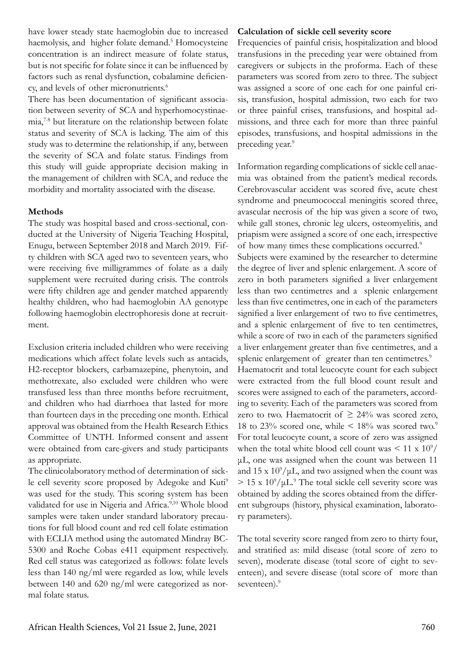have lower steady state haemoglobin due to increased haemolysis, and higher folate demand.<sup>5</sup> Homocysteine concentration is an indirect measure of folate status, but is not specific for folate since it can be influenced by factors such as renal dysfunction, cobalamine deficiency, and levels of other micronutrients.<sup>6</sup>

There has been documentation of significant association between severity of SCA and hyperhomocystinaemia,7-8 but literature on the relationship between folate status and severity of SCA is lacking. The aim of this study was to determine the relationship, if any, between the severity of SCA and folate status. Findings from this study will guide appropriate decision making in the management of children with SCA, and reduce the morbidity and mortality associated with the disease.

## **Methods**

The study was hospital based and cross-sectional, conducted at the University of Nigeria Teaching Hospital, Enugu, between September 2018 and March 2019. Fifty children with SCA aged two to seventeen years, who were receiving five milligrammes of folate as a daily supplement were recruited during crisis. The controls were fifty children age and gender matched apparently healthy children, who had haemoglobin AA genotype following haemoglobin electrophoresis done at recruitment.

Exclusion criteria included children who were receiving medications which affect folate levels such as antacids, H2-receptor blockers, carbamazepine, phenytoin, and methotrexate, also excluded were children who were transfused less than three months before recruitment, and children who had diarrhoea that lasted for more than fourteen days in the preceding one month. Ethical approval was obtained from the Health Research Ethics Committee of UNTH. Informed consent and assent were obtained from care-givers and study participants as appropriate.

The clinicolaboratory method of determination of sickle cell severity score proposed by Adegoke and Kuti<sup>9</sup> was used for the study. This scoring system has been validated for use in Nigeria and Africa.<sup>9,10</sup> Whole blood samples were taken under standard laboratory precautions for full blood count and red cell folate estimation with ECLIA method using the automated Mindray BC-5300 and Roche Cobas e411 equipment respectively. Red cell status was categorized as follows: folate levels less than 140 ng/ml were regarded as low, while levels between 140 and 620 ng/ml were categorized as normal folate status.

### **Calculation of sickle cell severity score**

Frequencies of painful crisis, hospitalization and blood transfusions in the preceding year were obtained from caregivers or subjects in the proforma. Each of these parameters was scored from zero to three. The subject was assigned a score of one each for one painful crisis, transfusion, hospital admission, two each for two or three painful crises, transfusions, and hospital admissions, and three each for more than three painful episodes, transfusions, and hospital admissions in the preceding year.<sup>9</sup>

Information regarding complications of sickle cell anaemia was obtained from the patient's medical records. Cerebrovascular accident was scored five, acute chest syndrome and pneumococcal meningitis scored three, avascular necrosis of the hip was given a score of two, while gall stones, chronic leg ulcers, osteomyelitis, and priapism were assigned a score of one each, irrespective of how many times these complications occurred.9

Subjects were examined by the researcher to determine the degree of liver and splenic enlargement. A score of zero in both parameters signified a liver enlargement less than two centimetres and a splenic enlargement less than five centimetres, one in each of the parameters signified a liver enlargement of two to five centimetres, and a splenic enlargement of five to ten centimetres, while a score of two in each of the parameters signified a liver enlargement greater than five centimetres, and a splenic enlargement of greater than ten centimetres.<sup>9</sup>

Haematocrit and total leucocyte count for each subject were extracted from the full blood count result and scores were assigned to each of the parameters, according to severity. Each of the parameters was scored from zero to two. Haematocrit of  $\geq 24\%$  was scored zero, 18 to 23% scored one, while  $\leq 18\%$  was scored two.<sup>9</sup> For total leucocyte count, a score of zero was assigned when the total white blood cell count was  $\leq 11 \times 10^9/$ μL, one was assigned when the count was between 11 and  $15 \times 10^9/\mu L$ , and two assigned when the count was  $> 15 \times 10^9/\mu L$ .<sup>9</sup> The total sickle cell severity score was obtained by adding the scores obtained from the different subgroups (history, physical examination, laboratory parameters).

The total severity score ranged from zero to thirty four, and stratified as: mild disease (total score of zero to seven), moderate disease (total score of eight to seventeen), and severe disease (total score of more than seventeen).<sup>9</sup>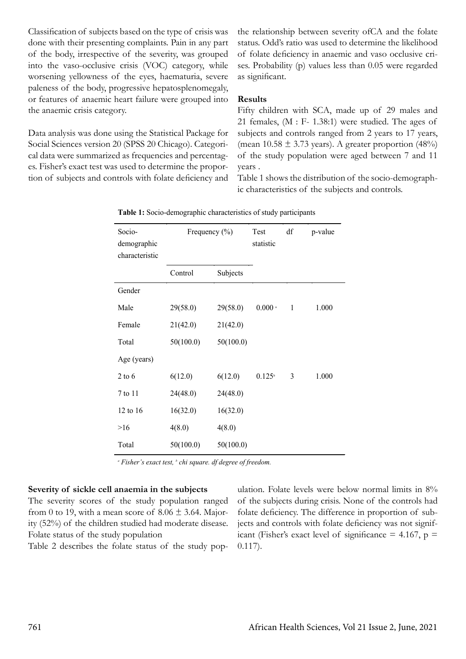Classification of subjects based on the type of crisis was done with their presenting complaints. Pain in any part of the body, irrespective of the severity, was grouped into the vaso-occlusive crisis (VOC) category, while worsening yellowness of the eyes, haematuria, severe paleness of the body, progressive hepatosplenomegaly, or features of anaemic heart failure were grouped into the anaemic crisis category.

Data analysis was done using the Statistical Package for Social Sciences version 20 (SPSS 20 Chicago). Categorical data were summarized as frequencies and percentages. Fisher's exact test was used to determine the proportion of subjects and controls with folate deficiency and the relationship between severity ofCA and the folate status. Odd's ratio was used to determine the likelihood of folate deficiency in anaemic and vaso occlusive crises. Probability (p) values less than 0.05 were regarded as significant.

### **Results**

Fifty children with SCA, made up of 29 males and 21 females,  $(M : F - 1.38:1)$  were studied. The ages of subjects and controls ranged from 2 years to 17 years, (mean  $10.58 \pm 3.73$  years). A greater proportion (48%) of the study population were aged between 7 and 11 years .

Table 1 shows the distribution of the socio-demographic characteristics of the subjects and controls.

| Socio-<br>demographic<br>characteristic | Frequency (%) |           | Test<br>statistic  | df           | p-value |
|-----------------------------------------|---------------|-----------|--------------------|--------------|---------|
|                                         | Control       | Subjects  |                    |              |         |
| Gender                                  |               |           |                    |              |         |
| Male                                    | 29(58.0)      | 29(58.0)  | $0.000$ $^{\circ}$ | $\mathbf{1}$ | 1.000   |
| Female                                  | 21(42.0)      | 21(42.0)  |                    |              |         |
| Total                                   | 50(100.0)     | 50(100.0) |                    |              |         |
| Age (years)                             |               |           |                    |              |         |
| $2$ to 6                                | 6(12.0)       | 6(12.0)   | $0.125^{\circ}$    | 3            | 1.000   |
| 7 to 11                                 | 24(48.0)      | 24(48.0)  |                    |              |         |
| 12 to 16                                | 16(32.0)      | 16(32.0)  |                    |              |         |
| >16                                     | 4(8.0)        | 4(8.0)    |                    |              |         |
| Total                                   | 50(100.0)     | 50(100.0) |                    |              |         |

**Table 1:** Socio-demographic characteristics of study participants

*<sup>a</sup> Fisher's exact test, <sup>b</sup> chi square. df degree of freedom.*

### **Severity of sickle cell anaemia in the subjects**

The severity scores of the study population ranged from 0 to 19, with a mean score of  $8.06 \pm 3.64$ . Majority (52%) of the children studied had moderate disease. Folate status of the study population

Table 2 describes the folate status of the study pop-

ulation. Folate levels were below normal limits in 8% of the subjects during crisis. None of the controls had folate deficiency. The difference in proportion of subjects and controls with folate deficiency was not significant (Fisher's exact level of significance  $= 4.167$ , p  $=$ 0.117).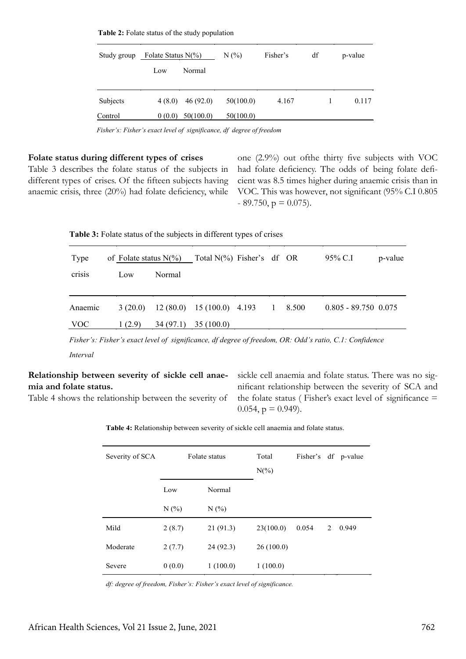| Study group | Folate Status $N(\%)$ |           | N(%       | Fisher's | df | p-value |  |
|-------------|-----------------------|-----------|-----------|----------|----|---------|--|
|             | Low                   | Normal    |           |          |    |         |  |
| Subjects    | 4(8.0)                | 46(92.0)  | 50(100.0) | 4.167    |    | 0.117   |  |
| Control     | 0(0.0)                | 50(100.0) | 50(100.0) |          |    |         |  |

**Table 2:** Folate status of the study population **Table 2:** Folate status of the study population

 *Fisher's: Fisher's exact level of significance, df degree of freedom Fisher's: Fisher's exact level of significance, df degree of freedom*

#### **Folate status during different types of crises**

Table 3 describes the folate status of the subjects in different types of crises. Of the fifteen subjects having anaemic crisis, three (20%) had folate deficiency, while one (2.9%) out ofthe thirty five subjects with VOC had folate deficiency. The odds of being folate deficient was 8.5 times higher during anaemic crisis than in VOC. This was however, not significant (95% C.I 0.805  $-89.750$ ,  $p = 0.075$ ).

| Table 3: Folate status of the subjects in different types of crises |
|---------------------------------------------------------------------|
|---------------------------------------------------------------------|

| Type       | of Folate status $N(\%)$ |          | Total $N(\%)$ Fisher's df OR |              |       | 95% C.I                | p-value |
|------------|--------------------------|----------|------------------------------|--------------|-------|------------------------|---------|
| crisis     | Low                      | Normal   |                              |              |       |                        |         |
|            |                          |          |                              |              |       |                        |         |
| Anaemic    | 3(20.0)                  |          | $12(80.0)$ 15 (100.0) 4.193  | $\mathbf{1}$ | 8.500 | $0.805 - 89.750$ 0.075 |         |
| <b>VOC</b> | 1(2.9)                   | 34(97.1) | 35 (100.0)                   |              |       |                        |         |

*Fisher's: Fisher's exact level of significance, df degree of freedom, OR: Odd's ratio, C.1: Confidence* 

*Interval*

# **Relationship between severity of sickle cell anaemia and folate status.**

Table 4 shows the relationship between the severity of

sickle cell anaemia and folate status. There was no significant relationship between the severity of SCA and the folate status ( Fisher's exact level of significance  $=$  $0.054$ ,  $p = 0.949$ ).

**Table 4:** Relationship between severity of sickle cell anaemia and folate status.

| Severity of SCA | Folate status |          | Total<br>$N(\%)$ | Fisher's df p-value |   |       |
|-----------------|---------------|----------|------------------|---------------------|---|-------|
|                 | Low           | Normal   |                  |                     |   |       |
|                 | N(%           | N(%      |                  |                     |   |       |
| Mild            | 2(8.7)        | 21(91.3) | 23(100.0)        | 0.054               | 2 | 0.949 |
| Moderate        | 2(7.7)        | 24(92.3) | 26(100.0)        |                     |   |       |
| Severe          | 0(0.0)        | 1(100.0) | 1(100.0)         |                     |   |       |

*df: degree of freedom, Fisher's: Fisher's exact level of significance.*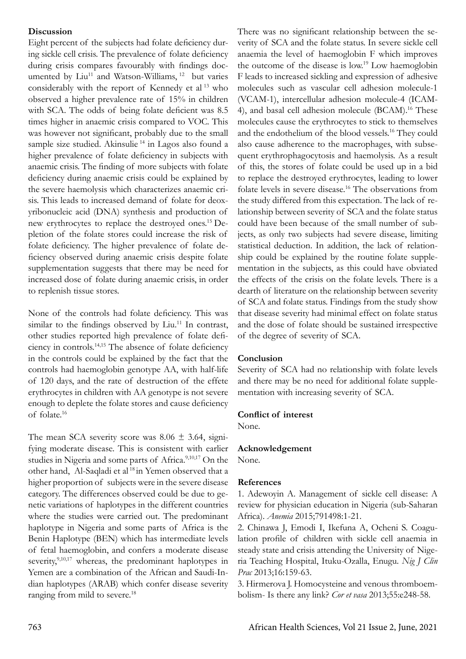## **Discussion**

Eight percent of the subjects had folate deficiency during sickle cell crisis. The prevalence of folate deficiency during crisis compares favourably with findings documented by Liu<sup>11</sup> and Watson-Williams, <sup>12</sup> but varies considerably with the report of Kennedy et al 13 who observed a higher prevalence rate of 15% in children with SCA. The odds of being folate deficient was 8.5 times higher in anaemic crisis compared to VOC. This was however not significant, probably due to the small sample size studied. Akinsulie<sup>14</sup> in Lagos also found a higher prevalence of folate deficiency in subjects with anaemic crisis. The finding of more subjects with folate deficiency during anaemic crisis could be explained by the severe haemolysis which characterizes anaemic crisis. This leads to increased demand of folate for deoxyribonucleic acid (DNA) synthesis and production of new erythrocytes to replace the destroyed ones.15 Depletion of the folate stores could increase the risk of folate deficiency. The higher prevalence of folate deficiency observed during anaemic crisis despite folate supplementation suggests that there may be need for increased dose of folate during anaemic crisis, in order to replenish tissue stores.

None of the controls had folate deficiency. This was similar to the findings observed by  $Liu$ .<sup>11</sup> In contrast, other studies reported high prevalence of folate deficiency in controls.14,15 The absence of folate deficiency in the controls could be explained by the fact that the controls had haemoglobin genotype AA, with half-life of 120 days, and the rate of destruction of the effete erythrocytes in children with AA genotype is not severe enough to deplete the folate stores and cause deficiency of folate.16

The mean SCA severity score was  $8.06 \pm 3.64$ , signifying moderate disease. This is consistent with earlier studies in Nigeria and some parts of Africa.<sup>9,10,17</sup> On the other hand, Al-Saqladi et al 18 in Yemen observed that a higher proportion of subjects were in the severe disease category. The differences observed could be due to genetic variations of haplotypes in the different countries where the studies were carried out. The predominant haplotype in Nigeria and some parts of Africa is the Benin Haplotype (BEN) which has intermediate levels of fetal haemoglobin, and confers a moderate disease severity, $9,10,17$  whereas, the predominant haplotypes in Yemen are a combination of the African and Saudi-Indian haplotypes (ARAB) which confer disease severity ranging from mild to severe.<sup>18</sup>

There was no significant relationship between the severity of SCA and the folate status. In severe sickle cell anaemia the level of haemoglobin F which improves the outcome of the disease is low.19 Low haemoglobin F leads to increased sickling and expression of adhesive molecules such as vascular cell adhesion molecule-1 (VCAM-1), intercellular adhesion molecule-4 (ICAM-4), and basal cell adhesion molecule (BCAM).<sup>16</sup> These molecules cause the erythrocytes to stick to themselves and the endothelium of the blood vessels.<sup>16</sup> They could also cause adherence to the macrophages, with subsequent erythrophagocytosis and haemolysis. As a result of this, the stores of folate could be used up in a bid to replace the destroyed erythrocytes, leading to lower folate levels in severe disease.16 The observations from the study differed from this expectation. The lack of relationship between severity of SCA and the folate status could have been because of the small number of subjects, as only two subjects had severe disease, limiting statistical deduction. In addition, the lack of relationship could be explained by the routine folate supplementation in the subjects, as this could have obviated the effects of the crisis on the folate levels. There is a dearth of literature on the relationship between severity of SCA and folate status. Findings from the study show that disease severity had minimal effect on folate status and the dose of folate should be sustained irrespective of the degree of severity of SCA.

# **Conclusion**

Severity of SCA had no relationship with folate levels and there may be no need for additional folate supplementation with increasing severity of SCA.

### **Conflict of interest**

None.

# **Acknowledgement**

None.

# **References**

1. Adewoyin A. Management of sickle cell disease: A review for physician education in Nigeria (sub-Saharan Africa). *Anemia* 2015;791498:1-21.

2. Chinawa J, Emodi I, Ikefuna A, Ocheni S. Coagulation profile of children with sickle cell anaemia in steady state and crisis attending the University of Nigeria Teaching Hospital, Ituku-Ozalla, Enugu. *Nig J Clin Prac* 2013;16:159-63.

3. Hirmerova J. Homocysteine and venous thromboembolism- Is there any link? *Cor et vasa* 2013;55:e248-58.